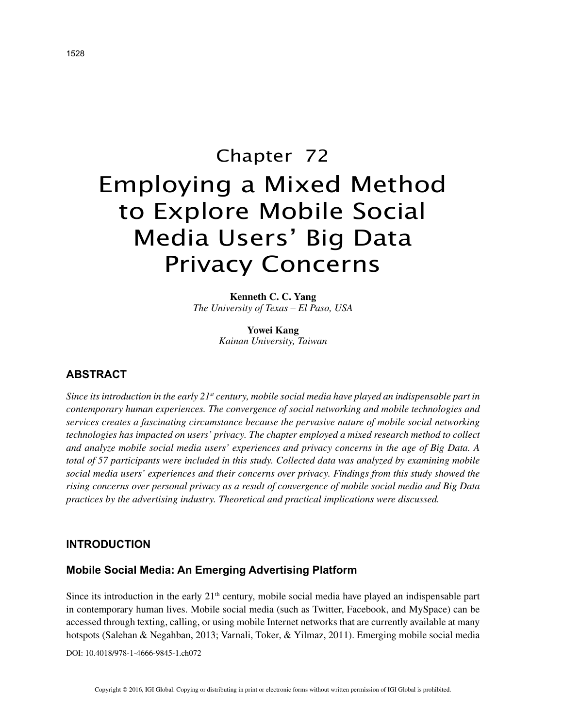# Chapter 72 Employing a Mixed Method to Explore Mobile Social Media Users' Big Data Privacy Concerns

**Kenneth C. C. Yang** *The University of Texas – El Paso, USA*

> **Yowei Kang** *Kainan University, Taiwan*

## **ABSTRACT**

*Since its introduction in the early 21st century, mobile social media have played an indispensable part in contemporary human experiences. The convergence of social networking and mobile technologies and services creates a fascinating circumstance because the pervasive nature of mobile social networking technologies has impacted on users' privacy. The chapter employed a mixed research method to collect and analyze mobile social media users' experiences and privacy concerns in the age of Big Data. A total of 57 participants were included in this study. Collected data was analyzed by examining mobile social media users' experiences and their concerns over privacy. Findings from this study showed the rising concerns over personal privacy as a result of convergence of mobile social media and Big Data practices by the advertising industry. Theoretical and practical implications were discussed.*

## **INTRODUCTION**

## **Mobile Social Media: An Emerging Advertising Platform**

Since its introduction in the early 21<sup>th</sup> century, mobile social media have played an indispensable part in contemporary human lives. Mobile social media (such as Twitter, Facebook, and MySpace) can be accessed through texting, calling, or using mobile Internet networks that are currently available at many hotspots (Salehan & Negahban, 2013; Varnali, Toker, & Yilmaz, 2011). Emerging mobile social media

DOI: 10.4018/978-1-4666-9845-1.ch072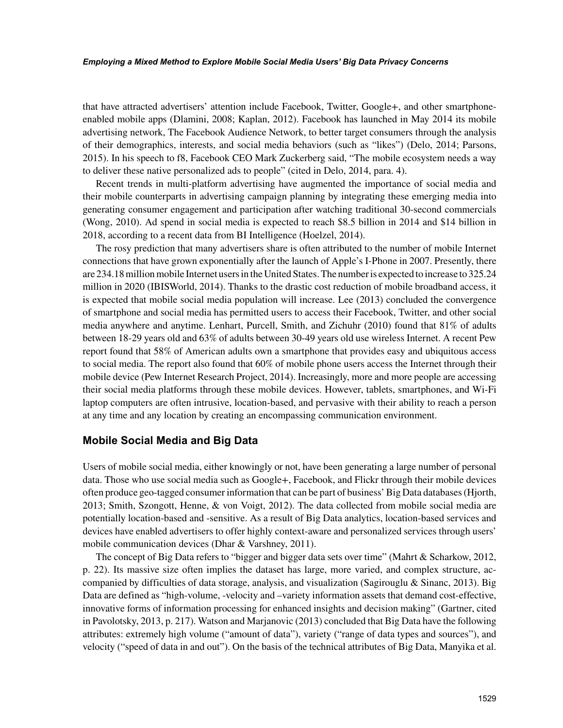#### *Employing a Mixed Method to Explore Mobile Social Media Users' Big Data Privacy Concerns*

that have attracted advertisers' attention include Facebook, Twitter, Google+, and other smartphoneenabled mobile apps (Dlamini, 2008; Kaplan, 2012). Facebook has launched in May 2014 its mobile advertising network, The Facebook Audience Network, to better target consumers through the analysis of their demographics, interests, and social media behaviors (such as "likes") (Delo, 2014; Parsons, 2015). In his speech to f8, Facebook CEO Mark Zuckerberg said, "The mobile ecosystem needs a way to deliver these native personalized ads to people" (cited in Delo, 2014, para. 4).

Recent trends in multi-platform advertising have augmented the importance of social media and their mobile counterparts in advertising campaign planning by integrating these emerging media into generating consumer engagement and participation after watching traditional 30-second commercials (Wong, 2010). Ad spend in social media is expected to reach \$8.5 billion in 2014 and \$14 billion in 2018, according to a recent data from BI Intelligence (Hoelzel, 2014).

The rosy prediction that many advertisers share is often attributed to the number of mobile Internet connections that have grown exponentially after the launch of Apple's I-Phone in 2007. Presently, there are 234.18 million mobile Internet users in the United States. The number is expected to increase to 325.24 million in 2020 (IBISWorld, 2014). Thanks to the drastic cost reduction of mobile broadband access, it is expected that mobile social media population will increase. Lee (2013) concluded the convergence of smartphone and social media has permitted users to access their Facebook, Twitter, and other social media anywhere and anytime. Lenhart, Purcell, Smith, and Zichuhr (2010) found that 81% of adults between 18-29 years old and 63% of adults between 30-49 years old use wireless Internet. A recent Pew report found that 58% of American adults own a smartphone that provides easy and ubiquitous access to social media. The report also found that 60% of mobile phone users access the Internet through their mobile device (Pew Internet Research Project, 2014). Increasingly, more and more people are accessing their social media platforms through these mobile devices. However, tablets, smartphones, and Wi-Fi laptop computers are often intrusive, location-based, and pervasive with their ability to reach a person at any time and any location by creating an encompassing communication environment.

## **Mobile Social Media and Big Data**

Users of mobile social media, either knowingly or not, have been generating a large number of personal data. Those who use social media such as Google+, Facebook, and Flickr through their mobile devices often produce geo-tagged consumer information that can be part of business' Big Data databases (Hjorth, 2013; Smith, Szongott, Henne, & von Voigt, 2012). The data collected from mobile social media are potentially location-based and -sensitive. As a result of Big Data analytics, location-based services and devices have enabled advertisers to offer highly context-aware and personalized services through users' mobile communication devices (Dhar & Varshney, 2011).

The concept of Big Data refers to "bigger and bigger data sets over time" (Mahrt & Scharkow, 2012, p. 22). Its massive size often implies the dataset has large, more varied, and complex structure, accompanied by difficulties of data storage, analysis, and visualization (Sagirouglu & Sinanc, 2013). Big Data are defined as "high-volume, -velocity and –variety information assets that demand cost-effective, innovative forms of information processing for enhanced insights and decision making" (Gartner, cited in Pavolotsky, 2013, p. 217). Watson and Marjanovic (2013) concluded that Big Data have the following attributes: extremely high volume ("amount of data"), variety ("range of data types and sources"), and velocity ("speed of data in and out"). On the basis of the technical attributes of Big Data, Manyika et al.